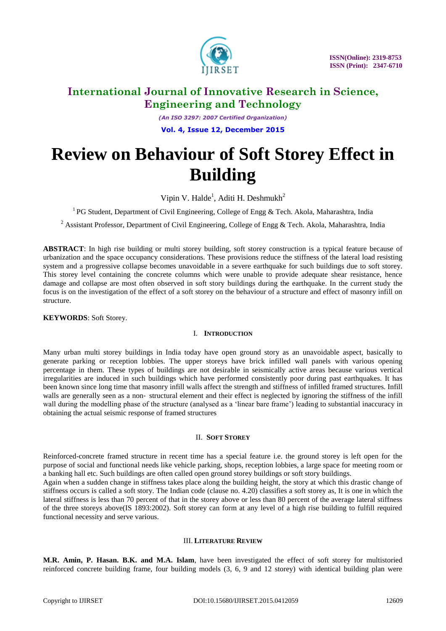

# **International Journal of Innovative Research in Science, Engineering and Technology**

*(An ISO 3297: 2007 Certified Organization)* **Vol. 4, Issue 12, December 2015**

# **Review on Behaviour of Soft Storey Effect in Building**

Vipin V. Halde<sup>1</sup>, Aditi H. Deshmukh<sup>2</sup>

<sup>1</sup> PG Student, Department of Civil Engineering, College of Engg & Tech. Akola, Maharashtra, India

<sup>2</sup> Assistant Professor, Department of Civil Engineering, College of Engg & Tech. Akola, Maharashtra, India

**ABSTRACT**: In high rise building or multi storey building, soft storey construction is a typical feature because of urbanization and the space occupancy considerations. These provisions reduce the stiffness of the lateral load resisting system and a progressive collapse becomes unavoidable in a severe earthquake for such buildings due to soft storey. This storey level containing the concrete columns which were unable to provide adequate shear resistance, hence damage and collapse are most often observed in soft story buildings during the earthquake. In the current study the focus is on the investigation of the effect of a soft storey on the behaviour of a structure and effect of masonry infill on structure.

**KEYWORDS**: Soft Storey.

### I. **INTRODUCTION**

Many urban multi storey buildings in India today have open ground story as an unavoidable aspect, basically to generate parking or reception lobbies. The upper storeys have brick infilled wall panels with various opening percentage in them. These types of buildings are not desirable in seismically active areas because various vertical irregularities are induced in such buildings which have performed consistently poor during past earthquakes. It has been known since long time that masonry infill walls affect the strength and stiffness of infilled framed structures. Infill walls are generally seen as a non-structural element and their effect is neglected by ignoring the stiffness of the infill wall during the modelling phase of the structure (analysed as a "linear bare frame") leading to substantial inaccuracy in obtaining the actual seismic response of framed structures

#### II. **SOFT STOREY**

Reinforced-concrete framed structure in recent time has a special feature i.e. the ground storey is left open for the purpose of social and functional needs like vehicle parking, shops, reception lobbies, a large space for meeting room or a banking hall etc. Such buildings are often called open ground storey buildings or soft story buildings.

Again when a sudden change in stiffness takes place along the building height, the story at which this drastic change of stiffness occurs is called a soft story. The Indian code (clause no. 4.20) classifies a soft storey as, It is one in which the lateral stiffness is less than 70 percent of that in the storey above or less than 80 percent of the average lateral stiffness of the three storeys above(IS 1893:2002). Soft storey can form at any level of a high rise building to fulfill required functional necessity and serve various.

### III. **LITERATURE REVIEW**

**M.R. Amin, P. Hasan. B.K. and M.A. Islam**, have been investigated the effect of soft storey for multistoried reinforced concrete building frame, four building models (3, 6, 9 and 12 storey) with identical building plan were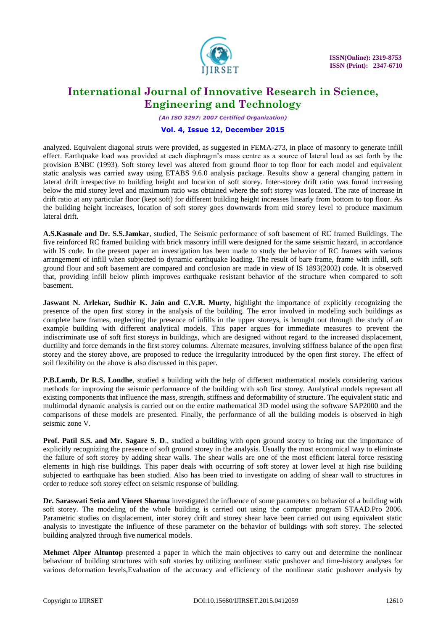

# **International Journal of Innovative Research in Science, Engineering and Technology**

*(An ISO 3297: 2007 Certified Organization)*

### **Vol. 4, Issue 12, December 2015**

analyzed. Equivalent diagonal struts were provided, as suggested in FEMA-273, in place of masonry to generate infill effect. Earthquake load was provided at each diaphragm"s mass centre as a source of lateral load as set forth by the provision BNBC (1993). Soft storey level was altered from ground floor to top floor for each model and equivalent static analysis was carried away using ETABS 9.6.0 analysis package. Results show a general changing pattern in lateral drift irrespective to building height and location of soft storey. Inter-storey drift ratio was found increasing below the mid storey level and maximum ratio was obtained where the soft storey was located. The rate of increase in drift ratio at any particular floor (kept soft) for different building height increases linearly from bottom to top floor. As the building height increases, location of soft storey goes downwards from mid storey level to produce maximum lateral drift.

**A.S.Kasnale and Dr. S.S.Jamkar**, studied, The Seismic performance of soft basement of RC framed Buildings. The five reinforced RC framed building with brick masonry infill were designed for the same seismic hazard, in accordance with IS code. In the present paper an investigation has been made to study the behavior of RC frames with various arrangement of infill when subjected to dynamic earthquake loading. The result of bare frame, frame with infill, soft ground flour and soft basement are compared and conclusion are made in view of IS 1893(2002) code. It is observed that, providing infill below plinth improves earthquake resistant behavior of the structure when compared to soft basement.

**Jaswant N. Arlekar, Sudhir K. Jain and C.V.R. Murty**, highlight the importance of explicitly recognizing the presence of the open first storey in the analysis of the building. The error involved in modeling such buildings as complete bare frames, neglecting the presence of infills in the upper storeys, is brought out through the study of an example building with different analytical models. This paper argues for immediate measures to prevent the indiscriminate use of soft first storeys in buildings, which are designed without regard to the increased displacement, ductility and force demands in the first storey columns. Alternate measures, involving stiffness balance of the open first storey and the storey above, are proposed to reduce the irregularity introduced by the open first storey. The effect of soil flexibility on the above is also discussed in this paper.

**P.B.Lamb, Dr R.S. Londhe**, studied a building with the help of different mathematical models considering various methods for improving the seismic performance of the building with soft first storey. Analytical models represent all existing components that influence the mass, strength, stiffness and deformability of structure. The equivalent static and multimodal dynamic analysis is carried out on the entire mathematical 3D model using the software SAP2000 and the comparisons of these models are presented. Finally, the performance of all the building models is observed in high seismic zone V.

**Prof. Patil S.S. and Mr. Sagare S. D.**, studied a building with open ground storey to bring out the importance of explicitly recognizing the presence of soft ground storey in the analysis. Usually the most economical way to eliminate the failure of soft storey by adding shear walls. The shear walls are one of the most efficient lateral force resisting elements in high rise buildings. This paper deals with occurring of soft storey at lower level at high rise building subjected to earthquake has been studied. Also has been tried to investigate on adding of shear wall to structures in order to reduce soft storey effect on seismic response of building.

**Dr. Saraswati Setia and Vineet Sharma** investigated the influence of some parameters on behavior of a building with soft storey. The modeling of the whole building is carried out using the computer program STAAD.Pro 2006. Parametric studies on displacement, inter storey drift and storey shear have been carried out using equivalent static analysis to investigate the influence of these parameter on the behavior of buildings with soft storey. The selected building analyzed through five numerical models.

**Mehmet Alper Altuntop** presented a paper in which the main objectives to carry out and determine the nonlinear behaviour of building structures with soft stories by utilizing nonlinear static pushover and time-history analyses for various deformation levels,Evaluation of the accuracy and efficiency of the nonlinear static pushover analysis by